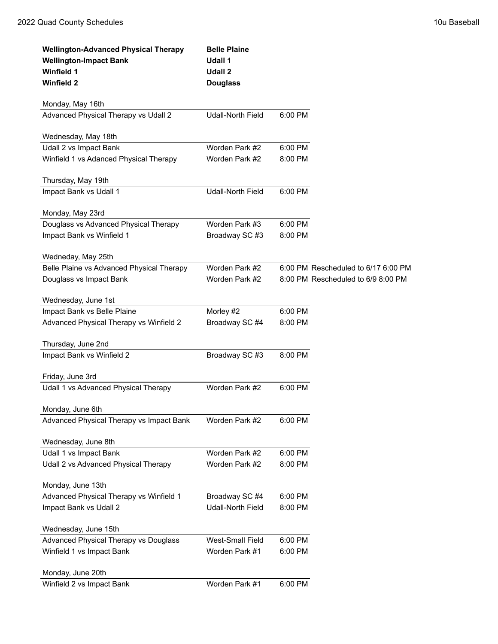| <b>Wellington-Advanced Physical Therapy</b><br><b>Wellington-Impact Bank</b><br><b>Winfield 1</b><br><b>Winfield 2</b> | <b>Belle Plaine</b><br>Udall 1<br>Udall 2<br><b>Douglass</b> |         |                                     |
|------------------------------------------------------------------------------------------------------------------------|--------------------------------------------------------------|---------|-------------------------------------|
| Monday, May 16th                                                                                                       |                                                              |         |                                     |
| Advanced Physical Therapy vs Udall 2                                                                                   | Udall-North Field                                            | 6:00 PM |                                     |
| Wednesday, May 18th                                                                                                    |                                                              |         |                                     |
| Udall 2 vs Impact Bank                                                                                                 | Worden Park #2                                               | 6:00 PM |                                     |
| Winfield 1 vs Adanced Physical Therapy                                                                                 | Worden Park #2                                               | 8:00 PM |                                     |
|                                                                                                                        |                                                              |         |                                     |
| Thursday, May 19th<br>Impact Bank vs Udall 1                                                                           | <b>Udall-North Field</b>                                     | 6:00 PM |                                     |
|                                                                                                                        |                                                              |         |                                     |
| Monday, May 23rd                                                                                                       |                                                              |         |                                     |
| Douglass vs Advanced Physical Therapy                                                                                  | Worden Park #3                                               | 6:00 PM |                                     |
| Impact Bank vs Winfield 1                                                                                              | Broadway SC #3                                               | 8:00 PM |                                     |
| Wedneday, May 25th                                                                                                     |                                                              |         |                                     |
| Belle Plaine vs Advanced Physical Therapy                                                                              | Worden Park #2                                               |         | 6:00 PM Rescheduled to 6/17 6:00 PM |
| Douglass vs Impact Bank                                                                                                | Worden Park #2                                               |         | 8:00 PM Rescheduled to 6/9 8:00 PM  |
|                                                                                                                        |                                                              |         |                                     |
| Wednesday, June 1st                                                                                                    |                                                              |         |                                     |
| Impact Bank vs Belle Plaine                                                                                            | Morley #2                                                    | 6:00 PM |                                     |
| Advanced Physical Therapy vs Winfield 2                                                                                | Broadway SC #4                                               | 8:00 PM |                                     |
| Thursday, June 2nd                                                                                                     |                                                              |         |                                     |
| Impact Bank vs Winfield 2                                                                                              | Broadway SC #3                                               | 8:00 PM |                                     |
|                                                                                                                        |                                                              |         |                                     |
| Friday, June 3rd                                                                                                       |                                                              |         |                                     |
| Udall 1 vs Advanced Physical Therapy                                                                                   | Worden Park #2                                               | 6:00 PM |                                     |
| Monday, June 6th                                                                                                       |                                                              |         |                                     |
| Advanced Physical Therapy vs Impact Bank                                                                               | Worden Park #2                                               | 6:00 PM |                                     |
|                                                                                                                        |                                                              |         |                                     |
| Wednesday, June 8th<br>Udall 1 vs Impact Bank                                                                          | Worden Park #2                                               | 6:00 PM |                                     |
| Udall 2 vs Advanced Physical Therapy                                                                                   | Worden Park #2                                               | 8:00 PM |                                     |
|                                                                                                                        |                                                              |         |                                     |
| Monday, June 13th                                                                                                      |                                                              |         |                                     |
| Advanced Physical Therapy vs Winfield 1                                                                                | Broadway SC #4                                               | 6:00 PM |                                     |
| Impact Bank vs Udall 2                                                                                                 | <b>Udall-North Field</b>                                     | 8:00 PM |                                     |
| Wednesday, June 15th                                                                                                   |                                                              |         |                                     |
| Advanced Physical Therapy vs Douglass                                                                                  | West-Small Field                                             | 6:00 PM |                                     |
| Winfield 1 vs Impact Bank                                                                                              | Worden Park #1                                               | 6:00 PM |                                     |
|                                                                                                                        |                                                              |         |                                     |
| Monday, June 20th                                                                                                      |                                                              |         |                                     |
| Winfield 2 vs Impact Bank                                                                                              | Worden Park #1                                               | 6:00 PM |                                     |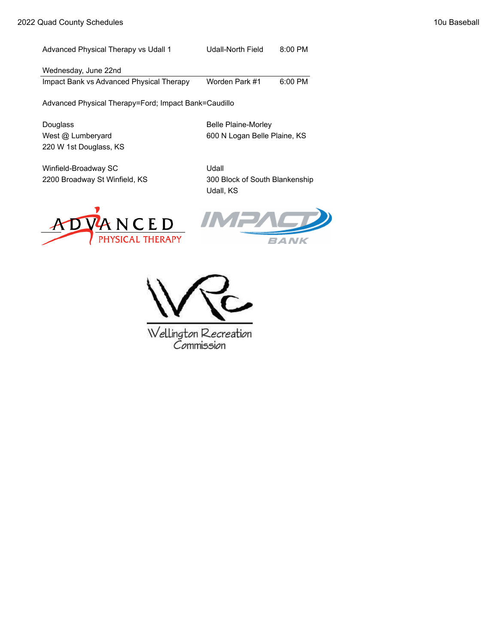Advanced Physical Therapy vs Udall 1 Udall-North Field 8:00 PM Wednesday, June 22nd

Impact Bank vs Advanced Physical Therapy Worden Park #1 6:00 PM

Advanced Physical Therapy=Ford; Impact Bank=Caudillo

Douglass **Belle Plaine-Morley** 220 W 1st Douglass, KS

West @ Lumberyard 600 N Logan Belle Plaine, KS

Winfield-Broadway SC Udall

2200 Broadway St Winfield, KS 300 Block of South Blankenship Udall, KS







Wellington Recreation Commission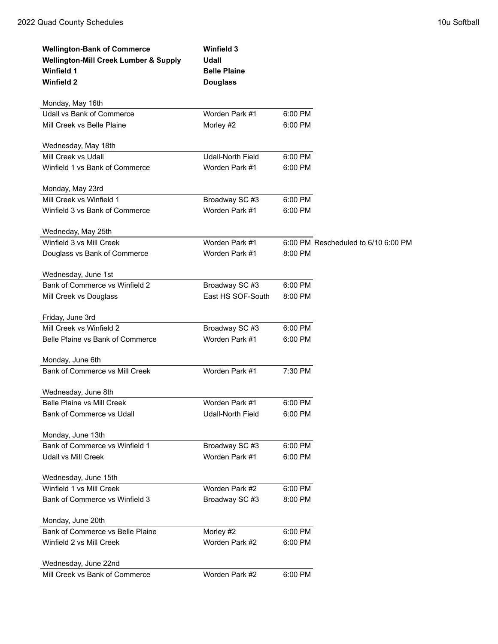| <b>Wellington-Bank of Commerce</b>               | <b>Winfield 3</b>        |         |                                     |
|--------------------------------------------------|--------------------------|---------|-------------------------------------|
| <b>Wellington-Mill Creek Lumber &amp; Supply</b> | Udall                    |         |                                     |
| <b>Winfield 1</b>                                | <b>Belle Plaine</b>      |         |                                     |
| <b>Winfield 2</b>                                | <b>Douglass</b>          |         |                                     |
| Monday, May 16th                                 |                          |         |                                     |
| Udall vs Bank of Commerce                        | Worden Park #1           | 6:00 PM |                                     |
| Mill Creek vs Belle Plaine                       | Morley #2                | 6:00 PM |                                     |
| Wednesday, May 18th                              |                          |         |                                     |
| Mill Creek vs Udall                              | <b>Udall-North Field</b> | 6:00 PM |                                     |
| Winfield 1 vs Bank of Commerce                   | Worden Park #1           | 6:00 PM |                                     |
| Monday, May 23rd                                 |                          |         |                                     |
| Mill Creek vs Winfield 1                         | Broadway SC #3           | 6:00 PM |                                     |
| Winfield 3 vs Bank of Commerce                   | Worden Park #1           | 6:00 PM |                                     |
| Wedneday, May 25th                               |                          |         |                                     |
| Winfield 3 vs Mill Creek                         | Worden Park #1           |         | 6:00 PM Rescheduled to 6/10 6:00 PM |
| Douglass vs Bank of Commerce                     | Worden Park #1           | 8:00 PM |                                     |
| Wednesday, June 1st                              |                          |         |                                     |
| Bank of Commerce vs Winfield 2                   | Broadway SC #3           | 6:00 PM |                                     |
| Mill Creek vs Douglass                           | East HS SOF-South        | 8:00 PM |                                     |
| Friday, June 3rd                                 |                          |         |                                     |
| Mill Creek vs Winfield 2                         | Broadway SC #3           | 6:00 PM |                                     |
| Belle Plaine vs Bank of Commerce                 | Worden Park #1           | 6:00 PM |                                     |
| Monday, June 6th                                 |                          |         |                                     |
| Bank of Commerce vs Mill Creek                   | Worden Park #1           | 7:30 PM |                                     |
| Wednesday, June 8th                              |                          |         |                                     |
| Belle Plaine vs Mill Creek                       | Worden Park #1           | 6:00 PM |                                     |
| Bank of Commerce vs Udall                        | <b>Udall-North Field</b> | 6:00 PM |                                     |
| Monday, June 13th                                |                          |         |                                     |
| Bank of Commerce vs Winfield 1                   | Broadway SC #3           | 6:00 PM |                                     |
| Udall vs Mill Creek                              | Worden Park #1           | 6:00 PM |                                     |
| Wednesday, June 15th                             |                          |         |                                     |
| Winfield 1 vs Mill Creek                         | Worden Park #2           | 6:00 PM |                                     |
| Bank of Commerce vs Winfield 3                   | Broadway SC #3           | 8:00 PM |                                     |
| Monday, June 20th                                |                          |         |                                     |
| Bank of Commerce vs Belle Plaine                 | Morley #2                | 6:00 PM |                                     |
| Winfield 2 vs Mill Creek                         | Worden Park #2           | 6:00 PM |                                     |
| Wednesday, June 22nd                             |                          |         |                                     |
| Mill Creek vs Bank of Commerce                   | Worden Park #2           | 6:00 PM |                                     |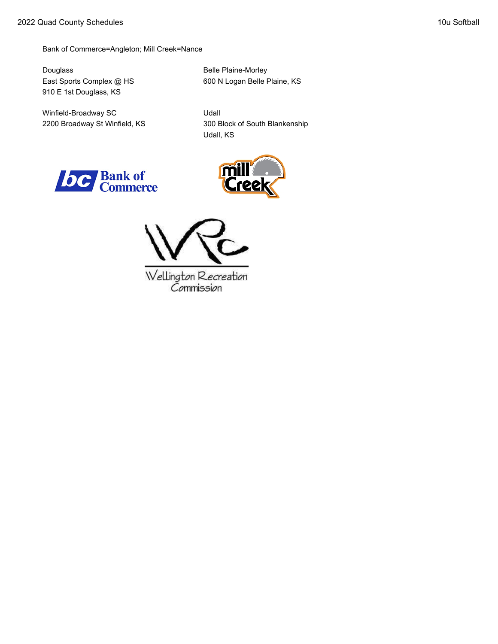Bank of Commerce=Angleton; Mill Creek=Nance

Douglass Belle Plaine-Morley 910 E 1st Douglass, KS

Winfield-Broadway SC Udall

East Sports Complex @ HS 600 N Logan Belle Plaine, KS

2200 Broadway St Winfield, KS 300 Block of South Blankenship Udall, KS







Wellington Recreation<br>Commission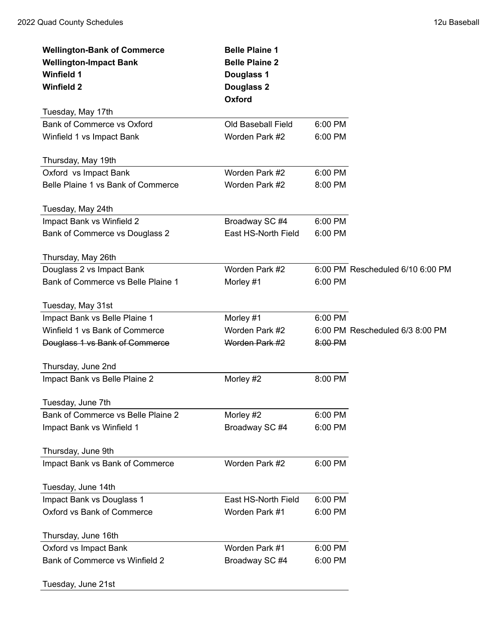| <b>Wellington-Bank of Commerce</b> | <b>Belle Plaine 1</b> |         |                                  |
|------------------------------------|-----------------------|---------|----------------------------------|
| <b>Wellington-Impact Bank</b>      | <b>Belle Plaine 2</b> |         |                                  |
| <b>Winfield 1</b>                  | Douglass 1            |         |                                  |
| <b>Winfield 2</b>                  | Douglass 2            |         |                                  |
|                                    | Oxford                |         |                                  |
| Tuesday, May 17th                  |                       |         |                                  |
| <b>Bank of Commerce vs Oxford</b>  | Old Baseball Field    | 6:00 PM |                                  |
| Winfield 1 vs Impact Bank          | Worden Park #2        | 6:00 PM |                                  |
|                                    |                       |         |                                  |
| Thursday, May 19th                 |                       |         |                                  |
| Oxford vs Impact Bank              | Worden Park #2        | 6:00 PM |                                  |
| Belle Plaine 1 vs Bank of Commerce | Worden Park #2        | 8:00 PM |                                  |
|                                    |                       |         |                                  |
| Tuesday, May 24th                  |                       |         |                                  |
| Impact Bank vs Winfield 2          | Broadway SC #4        | 6:00 PM |                                  |
| Bank of Commerce vs Douglass 2     | East HS-North Field   | 6:00 PM |                                  |
| Thursday, May 26th                 |                       |         |                                  |
| Douglass 2 vs Impact Bank          | Worden Park #2        |         | 6:00 PM Rescheduled 6/10 6:00 PM |
| Bank of Commerce vs Belle Plaine 1 | Morley #1             | 6:00 PM |                                  |
|                                    |                       |         |                                  |
| Tuesday, May 31st                  |                       |         |                                  |
| Impact Bank vs Belle Plaine 1      | Morley #1             | 6:00 PM |                                  |
| Winfield 1 vs Bank of Commerce     | Worden Park #2        |         | 6:00 PM Rescheduled 6/3 8:00 PM  |
| Douglass 1 vs Bank of Commerce     | Worden Park #2        | 8:00 PM |                                  |
|                                    |                       |         |                                  |
| Thursday, June 2nd                 |                       |         |                                  |
| Impact Bank vs Belle Plaine 2      | Morley #2             | 8:00 PM |                                  |
| Tuesday, June 7th                  |                       |         |                                  |
| Bank of Commerce vs Belle Plaine 2 | Morley #2             | 6:00 PM |                                  |
| Impact Bank vs Winfield 1          | Broadway SC #4        | 6:00 PM |                                  |
|                                    |                       |         |                                  |
| Thursday, June 9th                 |                       |         |                                  |
| Impact Bank vs Bank of Commerce    | Worden Park #2        | 6:00 PM |                                  |
|                                    |                       |         |                                  |
| Tuesday, June 14th                 |                       |         |                                  |
| Impact Bank vs Douglass 1          | East HS-North Field   | 6:00 PM |                                  |
| Oxford vs Bank of Commerce         | Worden Park #1        | 6:00 PM |                                  |
| Thursday, June 16th                |                       |         |                                  |
| Oxford vs Impact Bank              | Worden Park #1        | 6:00 PM |                                  |
| Bank of Commerce vs Winfield 2     | Broadway SC #4        | 6:00 PM |                                  |
|                                    |                       |         |                                  |
| Tuesday, June 21st                 |                       |         |                                  |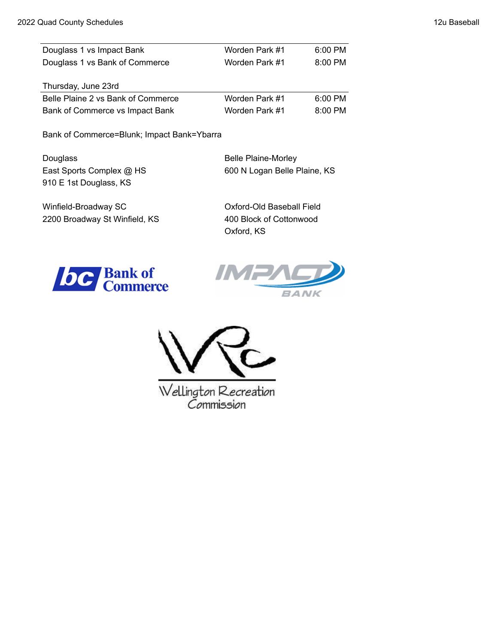| Douglass 1 vs Impact Bank          | Worden Park #1 | 6:00 PM   |
|------------------------------------|----------------|-----------|
| Douglass 1 vs Bank of Commerce     | Worden Park #1 | $8:00$ PM |
| Thursday, June 23rd                |                |           |
| Belle Plaine 2 vs Bank of Commerce | Worden Park #1 | $6:00$ PM |

Bank of Commerce vs Impact Bank Worden Park #1 8:00 PM

Bank of Commerce=Blunk; Impact Bank=Ybarra

Douglass **Belle Plaine-Morley** East Sports Complex @ HS 600 N Logan Belle Plaine, KS 910 E 1st Douglass, KS

Winfield-Broadway SC **CONFIELD COMPUTER** Oxford-Old Baseball Field

2200 Broadway St Winfield, KS 400 Block of Cottonwood Oxford, KS







Wellington Recreation<br>Commission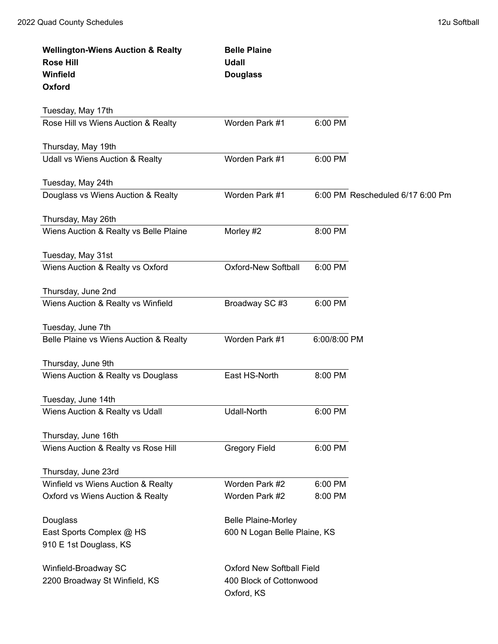| <b>Wellington-Wiens Auction &amp; Realty</b> | <b>Belle Plaine</b>              |              |                                  |
|----------------------------------------------|----------------------------------|--------------|----------------------------------|
| <b>Rose Hill</b>                             | <b>Udall</b>                     |              |                                  |
| Winfield                                     | <b>Douglass</b>                  |              |                                  |
| Oxford                                       |                                  |              |                                  |
| Tuesday, May 17th                            |                                  |              |                                  |
| Rose Hill vs Wiens Auction & Realty          | Worden Park #1                   | 6:00 PM      |                                  |
|                                              |                                  |              |                                  |
| Thursday, May 19th                           |                                  |              |                                  |
| <b>Udall vs Wiens Auction &amp; Realty</b>   | Worden Park #1                   | 6:00 PM      |                                  |
| Tuesday, May 24th                            |                                  |              |                                  |
| Douglass vs Wiens Auction & Realty           | Worden Park #1                   |              | 6:00 PM Rescheduled 6/17 6:00 Pm |
|                                              |                                  |              |                                  |
| Thursday, May 26th                           |                                  |              |                                  |
| Wiens Auction & Realty vs Belle Plaine       | Morley #2                        | 8:00 PM      |                                  |
|                                              |                                  |              |                                  |
| Tuesday, May 31st                            |                                  |              |                                  |
| Wiens Auction & Realty vs Oxford             | <b>Oxford-New Softball</b>       | 6:00 PM      |                                  |
| Thursday, June 2nd                           |                                  |              |                                  |
| Wiens Auction & Realty vs Winfield           | Broadway SC #3                   | 6:00 PM      |                                  |
|                                              |                                  |              |                                  |
| Tuesday, June 7th                            |                                  |              |                                  |
| Belle Plaine vs Wiens Auction & Realty       | Worden Park #1                   | 6:00/8:00 PM |                                  |
|                                              |                                  |              |                                  |
| Thursday, June 9th                           |                                  |              |                                  |
| Wiens Auction & Realty vs Douglass           | East HS-North                    | 8:00 PM      |                                  |
| Tuesday, June 14th                           |                                  |              |                                  |
| Wiens Auction & Realty vs Udall              | Udall-North                      | 6:00 PM      |                                  |
|                                              |                                  |              |                                  |
| Thursday, June 16th                          |                                  |              |                                  |
| Wiens Auction & Realty vs Rose Hill          | <b>Gregory Field</b>             | 6:00 PM      |                                  |
| Thursday, June 23rd                          |                                  |              |                                  |
| Winfield vs Wiens Auction & Realty           | Worden Park #2                   | 6:00 PM      |                                  |
| Oxford vs Wiens Auction & Realty             | Worden Park #2                   | 8:00 PM      |                                  |
|                                              |                                  |              |                                  |
| Douglass                                     | <b>Belle Plaine-Morley</b>       |              |                                  |
| East Sports Complex @ HS                     | 600 N Logan Belle Plaine, KS     |              |                                  |
| 910 E 1st Douglass, KS                       |                                  |              |                                  |
| Winfield-Broadway SC                         | <b>Oxford New Softball Field</b> |              |                                  |
| 2200 Broadway St Winfield, KS                | 400 Block of Cottonwood          |              |                                  |
|                                              | Oxford, KS                       |              |                                  |